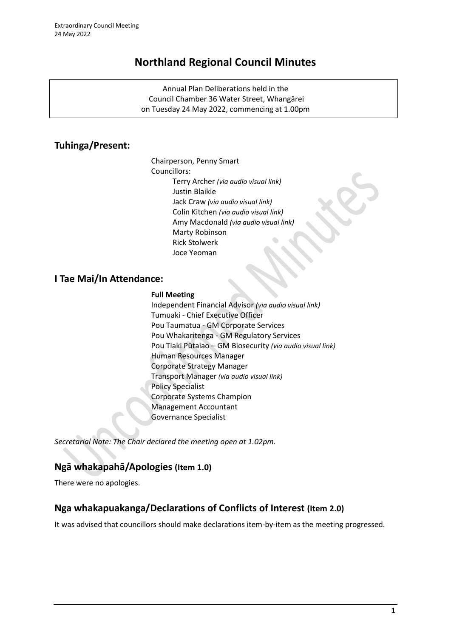# **Northland Regional Council Minutes**

Annual Plan Deliberations held in the Council Chamber 36 Water Street, Whangārei on Tuesday 24 May 2022, commencing at 1.00pm

# **Tuhinga/Present:**

Chairperson, Penny Smart Councillors: Terry Archer *(via audio visual link)* Justin Blaikie Jack Craw *(via audio visual link)* Colin Kitchen *(via audio visual link)* Amy Macdonald *(via audio visual link)* Marty Robinson Rick Stolwerk Joce Yeoman

# **I Tae Mai/In Attendance:**

### **Full Meeting**

Independent Financial Advisor *(via audio visual link)* Tumuaki - Chief Executive Officer Pou Taumatua - GM Corporate Services Pou Whakaritenga - GM Regulatory Services Pou Tiaki Pūtaiao – GM Biosecurity *(via audio visual link)* Human Resources Manager Corporate Strategy Manager Transport Manager *(via audio visual link)* Policy Specialist Corporate Systems Champion Management Accountant Governance Specialist

*Secretarial Note: The Chair declared the meeting open at 1.02pm.*

# **Ngā whakapahā/Apologies (Item 1.0)**

There were no apologies.

# **Nga whakapuakanga/Declarations of Conflicts of Interest (Item 2.0)**

It was advised that councillors should make declarations item-by-item as the meeting progressed.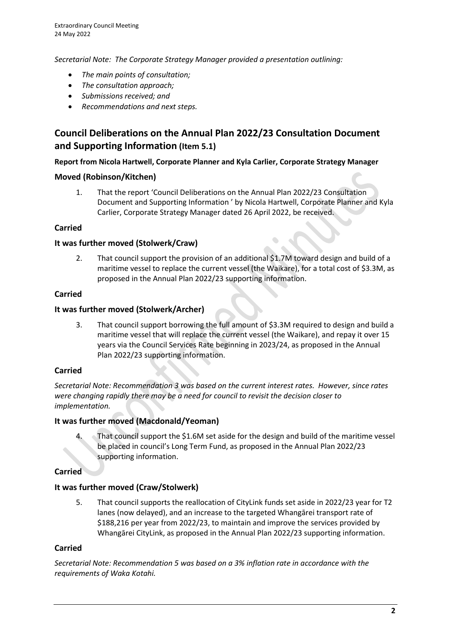*Secretarial Note: The Corporate Strategy Manager provided a presentation outlining:*

- *The main points of consultation;*
- *The consultation approach;*
- *Submissions received; and*
- *Recommendations and next steps.*

# **Council Deliberations on the Annual Plan 2022/23 Consultation Document and Supporting Information (Item 5.1)**

### **Report from Nicola Hartwell, Corporate Planner and Kyla Carlier, Corporate Strategy Manager**

### **Moved (Robinson/Kitchen)**

1. That the report 'Council Deliberations on the Annual Plan 2022/23 Consultation Document and Supporting Information ' by Nicola Hartwell, Corporate Planner and Kyla Carlier, Corporate Strategy Manager dated 26 April 2022, be received.

### **Carried**

### **It was further moved (Stolwerk/Craw)**

2. That council support the provision of an additional \$1.7M toward design and build of a maritime vessel to replace the current vessel (the Waikare), for a total cost of \$3.3M, as proposed in the Annual Plan 2022/23 supporting information.

#### **Carried**

### **It was further moved (Stolwerk/Archer)**

3. That council support borrowing the full amount of \$3.3M required to design and build a maritime vessel that will replace the current vessel (the Waikare), and repay it over 15 years via the Council Services Rate beginning in 2023/24, as proposed in the Annual Plan 2022/23 supporting information.

#### **Carried**

*Secretarial Note: Recommendation 3 was based on the current interest rates. However, since rates were changing rapidly there may be a need for council to revisit the decision closer to implementation.*

# **It was further moved (Macdonald/Yeoman)**

That council support the \$1.6M set aside for the design and build of the maritime vessel be placed in council's Long Term Fund, as proposed in the Annual Plan 2022/23 supporting information.

# **Carried**

# **It was further moved (Craw/Stolwerk)**

5. That council supports the reallocation of CityLink funds set aside in 2022/23 year for T2 lanes (now delayed), and an increase to the targeted Whangārei transport rate of \$188,216 per year from 2022/23, to maintain and improve the services provided by Whangārei CityLink, as proposed in the Annual Plan 2022/23 supporting information.

#### **Carried**

*Secretarial Note: Recommendation 5 was based on a 3% inflation rate in accordance with the requirements of Waka Kotahi.*